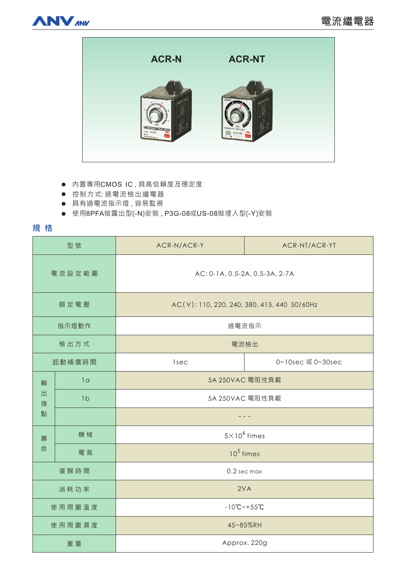



- 内置專用CMOS IC,具高信賴度及穩定度
- 控制方式: 過電流檢出繼電器
- 具有過電流指示燈,容易監視
- 使用8PFA做露出型(-N)安装, P3G-08或US-08做埋入型(-Y)安装

# **規格**

| 型號               |                | ACR-N/ACR-Y                                 | ACR-NT/ACR-YT     |
|------------------|----------------|---------------------------------------------|-------------------|
| 電流設定範圍           |                | AC: 0-1A, 0.5-2A, 0.5-3A, 2-7A              |                   |
| 額定電壓             |                | AC(V): 110, 220, 240, 380, 415, 440 50/60Hz |                   |
| 指示燈動作            |                | 過電流指示                                       |                   |
| 檢出方式             |                | 電流檢出                                        |                   |
| 起動補償時間           |                | <b>lsec</b>                                 | 0~10sec 或 0~30sec |
| 輸<br>出<br>接<br>點 | 1 <sub>a</sub> | 5A 250VAC 電阻性負載                             |                   |
|                  | 1 <sub>b</sub> | 5A 250VAC 電阻性負載                             |                   |
|                  |                |                                             |                   |
| 壽<br>命           | 機械             | $5 \times 10^6$ times                       |                   |
|                  | 電氣             | $10^5$ times                                |                   |
| 復歸時間             |                | 0.2 sec max                                 |                   |
| 消耗功率             |                | 2VA                                         |                   |
| 使用周圍溫度           |                | $-10^{\circ}$ C ~ + 55 $^{\circ}$ C         |                   |
| 使用周圍濕度           |                | 45~85%RH                                    |                   |
| 重量               |                | Approx. 220g                                |                   |